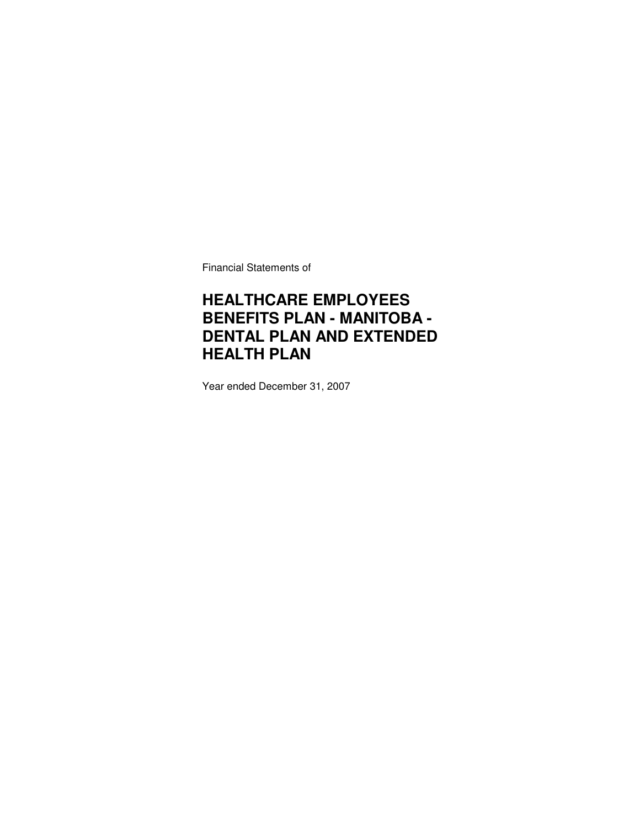Financial Statements of

### **HEALTHCARE EMPLOYEES BENEFITS PLAN - MANITOBA - DENTAL PLAN AND EXTENDED HEALTH PLAN**

Year ended December 31, 2007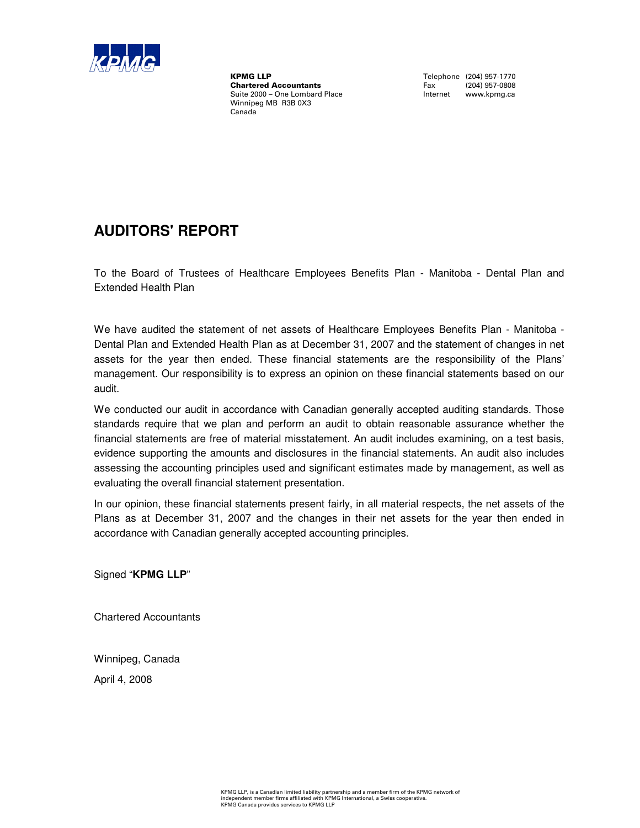

**KPMG LLP**<br> **Chartered Accountants**<br> **Chartered Accountants**<br>
Tax (204) 957-0808 **Chartered Accountants** Fax (204) 957-0808<br>
Suite 2000 – One Lombard Place **Face Contract Contract Contract Contract** Contract Contract Contract Contract Contract Contract Contract Contract Contract Contract Contract Contr Suite 2000 – One Lombard Place Winnipeg MB R3B 0X3 Canada

### **AUDITORS' REPORT**

To the Board of Trustees of Healthcare Employees Benefits Plan - Manitoba - Dental Plan and Extended Health Plan

We have audited the statement of net assets of Healthcare Employees Benefits Plan - Manitoba -Dental Plan and Extended Health Plan as at December 31, 2007 and the statement of changes in net assets for the year then ended. These financial statements are the responsibility of the Plans' management. Our responsibility is to express an opinion on these financial statements based on our audit.

We conducted our audit in accordance with Canadian generally accepted auditing standards. Those standards require that we plan and perform an audit to obtain reasonable assurance whether the financial statements are free of material misstatement. An audit includes examining, on a test basis, evidence supporting the amounts and disclosures in the financial statements. An audit also includes assessing the accounting principles used and significant estimates made by management, as well as evaluating the overall financial statement presentation.

In our opinion, these financial statements present fairly, in all material respects, the net assets of the Plans as at December 31, 2007 and the changes in their net assets for the year then ended in accordance with Canadian generally accepted accounting principles.

Signed "**KPMG LLP**"

Chartered Accountants

Winnipeg, Canada

April 4, 2008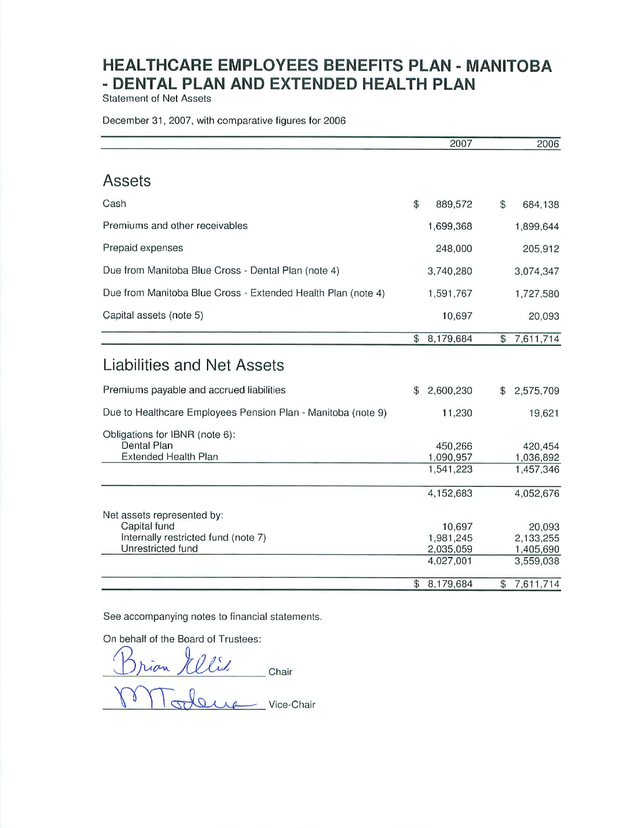**Statement of Net Assets** 

December 31, 2007, with comparative figures for 2006

|                                                              |                | 2007                   |                | 2006                   |
|--------------------------------------------------------------|----------------|------------------------|----------------|------------------------|
|                                                              |                |                        |                |                        |
| Assets                                                       |                |                        |                |                        |
| Cash                                                         | \$             | 889,572                | \$             | 684,138                |
| Premiums and other receivables                               |                | 1,699,368              |                | 1,899,644              |
| Prepaid expenses                                             |                | 248,000                |                | 205,912                |
| Due from Manitoba Blue Cross - Dental Plan (note 4)          |                | 3,740,280              |                | 3,074,347              |
| Due from Manitoba Blue Cross - Extended Health Plan (note 4) |                | 1,591,767              |                | 1,727,580              |
| Capital assets (note 5)                                      |                | 10,697                 |                | 20,093                 |
|                                                              | $\mathfrak{L}$ | 8,179,684              | \$             | 7,611,714              |
| Liabilities and Net Assets                                   |                |                        |                |                        |
| Premiums payable and accrued liabilities                     | \$             | 2,600,230              | $\mathfrak{P}$ | 2,575,709              |
| Due to Healthcare Employees Pension Plan - Manitoba (note 9) |                | 11,230                 |                | 19,621                 |
| Obligations for IBNR (note 6):                               |                |                        |                |                        |
| Dental Plan                                                  |                | 450,266                |                | 420.454                |
| Extended Health Plan                                         |                | 1,090,957<br>1,541,223 |                | 1,036,892<br>1,457,346 |
|                                                              |                |                        |                |                        |
|                                                              |                | 4,152,683              |                | 4,052,676              |
| Net assets represented by:                                   |                |                        |                |                        |
| Capital fund                                                 |                | 10,697                 |                | 20,093                 |
| Internally restricted fund (note 7)<br>Unrestricted fund     |                | 1,981,245<br>2,035,059 |                | 2,133,255<br>1,405,690 |
|                                                              |                | 4,027,001              |                | 3,559,038              |
|                                                              | \$             | 8,179,684              | \$             | 7,611,714              |

See accompanying notes to financial statements.

On behalf of the Board of Trustees:

Brian Melis<br>Drian Melis<br>Modeux vice-Chair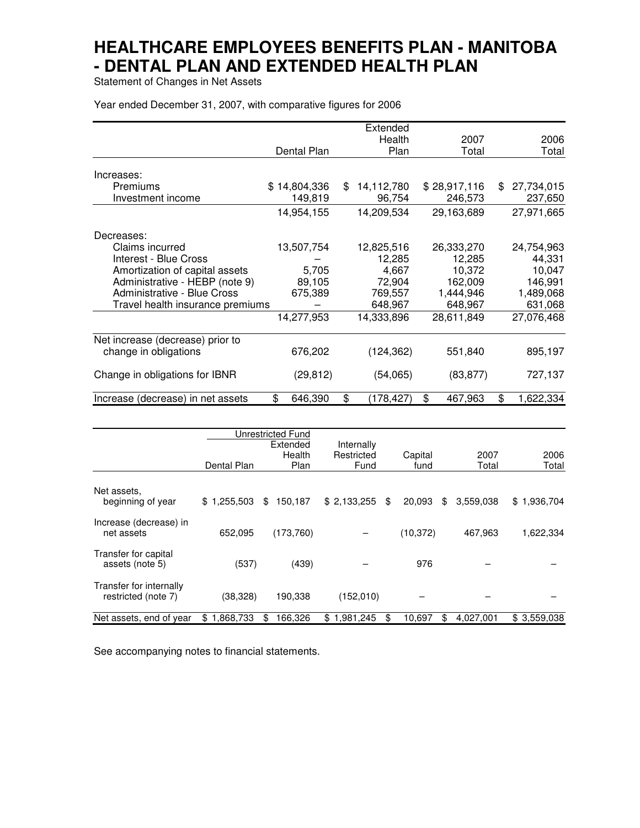Statement of Changes in Net Assets

Year ended December 31, 2007, with comparative figures for 2006

|                                   |               |     | Extended   |               |                  |
|-----------------------------------|---------------|-----|------------|---------------|------------------|
|                                   |               |     | Health     | 2007          | 2006             |
|                                   | Dental Plan   |     | Plan       | Total         | Total            |
|                                   |               |     |            |               |                  |
| Increases:                        |               |     |            |               |                  |
| Premiums                          | \$14,804,336  | \$. | 14,112,780 | \$28,917,116  | \$<br>27,734,015 |
| Investment income                 | 149,819       |     | 96,754     | 246,573       | 237,650          |
|                                   | 14,954,155    |     | 14,209,534 | 29,163,689    | 27,971,665       |
| Decreases:                        |               |     |            |               |                  |
| Claims incurred                   | 13,507,754    |     | 12,825,516 | 26,333,270    | 24,754,963       |
| Interest - Blue Cross             |               |     | 12,285     | 12,285        | 44,331           |
| Amortization of capital assets    | 5,705         |     | 4,667      | 10,372        | 10,047           |
| Administrative - HEBP (note 9)    | 89,105        |     | 72,904     | 162,009       | 146,991          |
| Administrative - Blue Cross       | 675,389       |     | 769,557    | 1,444,946     | 1,489,068        |
| Travel health insurance premiums  |               |     | 648,967    | 648,967       | 631,068          |
|                                   | 14,277,953    |     | 14,333,896 | 28,611,849    | 27,076,468       |
| Net increase (decrease) prior to  |               |     |            |               |                  |
| change in obligations             | 676,202       |     | (124, 362) | 551,840       | 895,197          |
| Change in obligations for IBNR    | (29, 812)     |     | (54,065)   | (83, 877)     | 727,137          |
| Increase (decrease) in net assets | \$<br>646,390 | \$  | 178,427)   | \$<br>467,963 | \$<br>1,622,334  |

|                                                |                 | Unrestricted Fund |             |              |                 |             |  |  |
|------------------------------------------------|-----------------|-------------------|-------------|--------------|-----------------|-------------|--|--|
|                                                |                 | Extended          | Internally  |              |                 |             |  |  |
|                                                |                 | Health            | Restricted  | Capital      | 2007            | 2006        |  |  |
|                                                | Dental Plan     | Plan              | Fund        | fund         | Total           | Total       |  |  |
| Net assets.<br>beginning of year               | \$1,255,503     | 150,187<br>\$     | \$2,133,255 | 20,093<br>\$ | 3,559,038<br>\$ | \$1,936,704 |  |  |
| Increase (decrease) in<br>net assets           | 652,095         | (173, 760)        |             | (10, 372)    | 467.963         | 1,622,334   |  |  |
| Transfer for capital<br>assets (note 5)        | (537)           | (439)             |             | 976          |                 |             |  |  |
| Transfer for internally<br>restricted (note 7) | (38,328)        | 190,338           | (152,010)   |              |                 |             |  |  |
| Net assets, end of year                        | 1,868,733<br>\$ | 166.326<br>\$     | \$1,981,245 | 10,697<br>\$ | \$<br>4.027.001 | \$3,559,038 |  |  |

See accompanying notes to financial statements.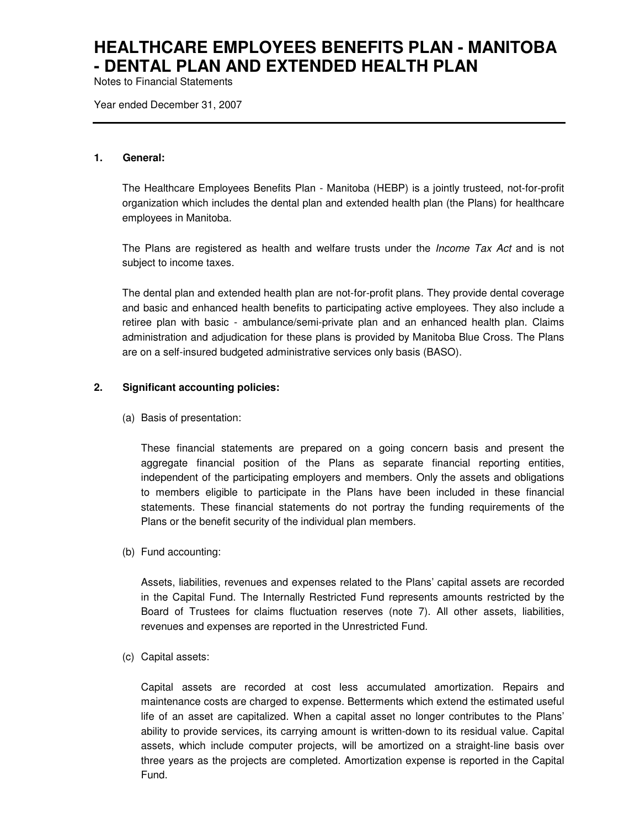Notes to Financial Statements

Year ended December 31, 2007

#### **1. General:**

The Healthcare Employees Benefits Plan - Manitoba (HEBP) is a jointly trusteed, not-for-profit organization which includes the dental plan and extended health plan (the Plans) for healthcare employees in Manitoba.

The Plans are registered as health and welfare trusts under the *Income Tax Act* and is not subject to income taxes.

The dental plan and extended health plan are not-for-profit plans. They provide dental coverage and basic and enhanced health benefits to participating active employees. They also include a retiree plan with basic - ambulance/semi-private plan and an enhanced health plan. Claims administration and adjudication for these plans is provided by Manitoba Blue Cross. The Plans are on a self-insured budgeted administrative services only basis (BASO).

### **2. Significant accounting policies:**

(a) Basis of presentation:

These financial statements are prepared on a going concern basis and present the aggregate financial position of the Plans as separate financial reporting entities, independent of the participating employers and members. Only the assets and obligations to members eligible to participate in the Plans have been included in these financial statements. These financial statements do not portray the funding requirements of the Plans or the benefit security of the individual plan members.

(b) Fund accounting:

Assets, liabilities, revenues and expenses related to the Plans' capital assets are recorded in the Capital Fund. The Internally Restricted Fund represents amounts restricted by the Board of Trustees for claims fluctuation reserves (note 7). All other assets, liabilities, revenues and expenses are reported in the Unrestricted Fund.

(c) Capital assets:

Capital assets are recorded at cost less accumulated amortization. Repairs and maintenance costs are charged to expense. Betterments which extend the estimated useful life of an asset are capitalized. When a capital asset no longer contributes to the Plans' ability to provide services, its carrying amount is written-down to its residual value. Capital assets, which include computer projects, will be amortized on a straight-line basis over three years as the projects are completed. Amortization expense is reported in the Capital Fund.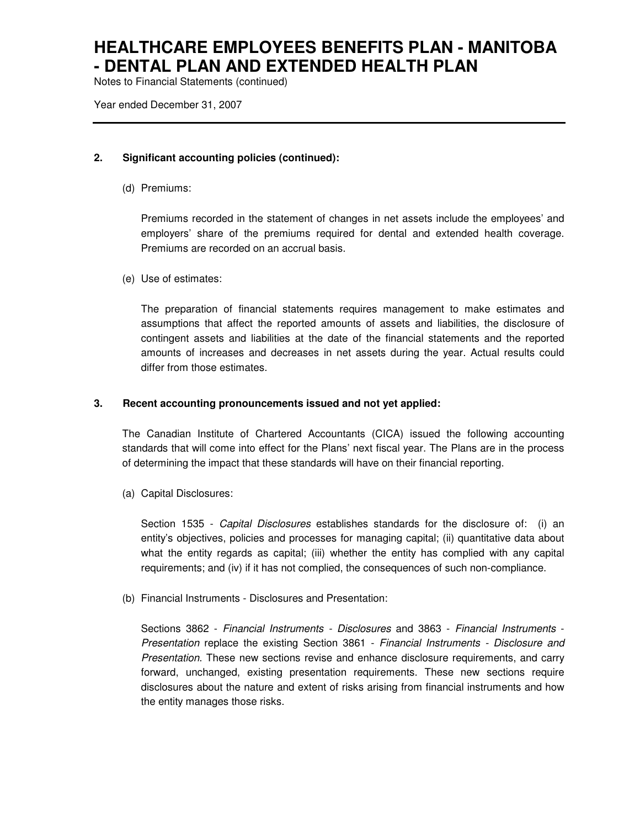Notes to Financial Statements (continued)

Year ended December 31, 2007

### **2. Significant accounting policies (continued):**

(d) Premiums:

Premiums recorded in the statement of changes in net assets include the employees' and employers' share of the premiums required for dental and extended health coverage. Premiums are recorded on an accrual basis.

(e) Use of estimates:

The preparation of financial statements requires management to make estimates and assumptions that affect the reported amounts of assets and liabilities, the disclosure of contingent assets and liabilities at the date of the financial statements and the reported amounts of increases and decreases in net assets during the year. Actual results could differ from those estimates.

### **3. Recent accounting pronouncements issued and not yet applied:**

The Canadian Institute of Chartered Accountants (CICA) issued the following accounting standards that will come into effect for the Plans' next fiscal year. The Plans are in the process of determining the impact that these standards will have on their financial reporting.

(a) Capital Disclosures:

Section 1535 - Capital Disclosures establishes standards for the disclosure of: (i) an entity's objectives, policies and processes for managing capital; (ii) quantitative data about what the entity regards as capital; (iii) whether the entity has complied with any capital requirements; and (iv) if it has not complied, the consequences of such non-compliance.

(b) Financial Instruments - Disclosures and Presentation:

Sections 3862 - Financial Instruments - Disclosures and 3863 - Financial Instruments -Presentation replace the existing Section 3861 - Financial Instruments - Disclosure and Presentation. These new sections revise and enhance disclosure requirements, and carry forward, unchanged, existing presentation requirements. These new sections require disclosures about the nature and extent of risks arising from financial instruments and how the entity manages those risks.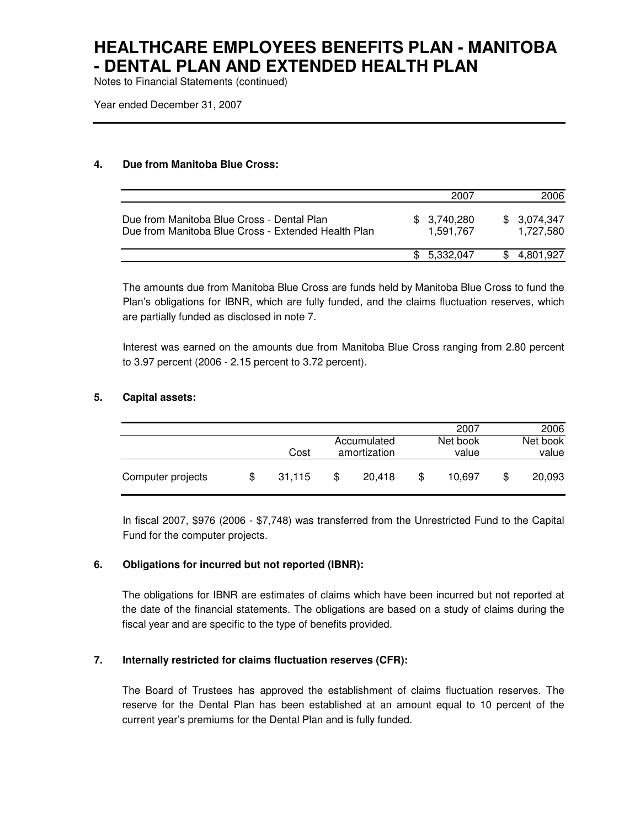Notes to Financial Statements (continued)

Year ended December 31, 2007

### **4. Due from Manitoba Blue Cross:**

|                                                                                                   | 2007                     | 2006                     |
|---------------------------------------------------------------------------------------------------|--------------------------|--------------------------|
| Due from Manitoba Blue Cross - Dental Plan<br>Due from Manitoba Blue Cross - Extended Health Plan | \$3,740,280<br>1.591.767 | \$3,074,347<br>1.727.580 |
|                                                                                                   | \$ 5.332,047             | 4,801,927                |

The amounts due from Manitoba Blue Cross are funds held by Manitoba Blue Cross to fund the Plan's obligations for IBNR, which are fully funded, and the claims fluctuation reserves, which are partially funded as disclosed in note 7.

Interest was earned on the amounts due from Manitoba Blue Cross ranging from 2.80 percent to 3.97 percent (2006 - 2.15 percent to 3.72 percent).

### **5. Capital assets:**

|                   |     |        |                             |        |     | 2007              | 2006              |
|-------------------|-----|--------|-----------------------------|--------|-----|-------------------|-------------------|
|                   |     | Cost   | Accumulated<br>amortization |        |     | Net book<br>value | Net book<br>value |
| Computer projects | \$. | 31.115 | S                           | 20.418 | \$. | 10.697            | \$<br>20,093      |

In fiscal 2007, \$976 (2006 - \$7,748) was transferred from the Unrestricted Fund to the Capital Fund for the computer projects.

### **6. Obligations for incurred but not reported (IBNR):**

The obligations for IBNR are estimates of claims which have been incurred but not reported at the date of the financial statements. The obligations are based on a study of claims during the fiscal year and are specific to the type of benefits provided.

### **7. Internally restricted for claims fluctuation reserves (CFR):**

The Board of Trustees has approved the establishment of claims fluctuation reserves. The reserve for the Dental Plan has been established at an amount equal to 10 percent of the current year's premiums for the Dental Plan and is fully funded.